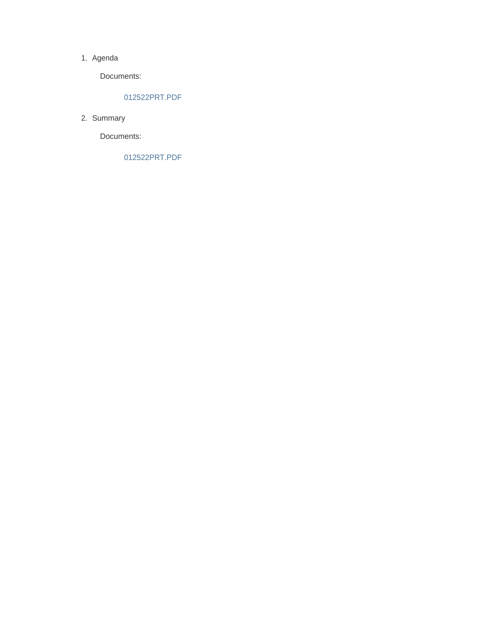#### 1. Agenda

Documents:

## 012522PRT.PDF

2. Summary

Documents:

012522PRT.PDF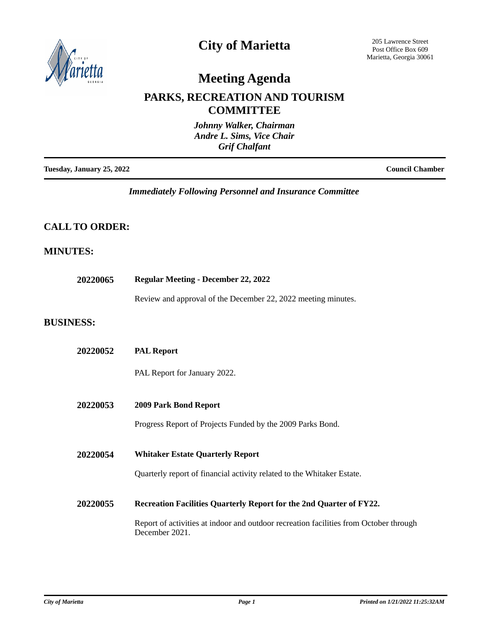

# **City of Marietta**

205 Lawrence Street Post Office Box 609 Marietta, Georgia 30061

# **Meeting Agenda**

## **PARKS, RECREATION AND TOURISM COMMITTEE**

| Johnny Walker, Chairman<br>Andre L. Sims, Vice Chair<br><b>Grif Chalfant</b> |                        |
|------------------------------------------------------------------------------|------------------------|
| Tuesday, January 25, 2022                                                    | <b>Council Chamber</b> |

*Immediately Following Personnel and Insurance Committee*

## **CALL TO ORDER:**

## **MINUTES:**

| 20220065         | <b>Regular Meeting - December 22, 2022</b>                                                              |  |
|------------------|---------------------------------------------------------------------------------------------------------|--|
|                  | Review and approval of the December 22, 2022 meeting minutes.                                           |  |
| <b>BUSINESS:</b> |                                                                                                         |  |
| 20220052         | <b>PAL Report</b>                                                                                       |  |
|                  | PAL Report for January 2022.                                                                            |  |
| 20220053         | 2009 Park Bond Report                                                                                   |  |
|                  | Progress Report of Projects Funded by the 2009 Parks Bond.                                              |  |
| 20220054         | <b>Whitaker Estate Quarterly Report</b>                                                                 |  |
|                  | Quarterly report of financial activity related to the Whitaker Estate.                                  |  |
| 20220055         | Recreation Facilities Quarterly Report for the 2nd Quarter of FY22.                                     |  |
|                  | Report of activities at indoor and outdoor recreation facilities from October through<br>December 2021. |  |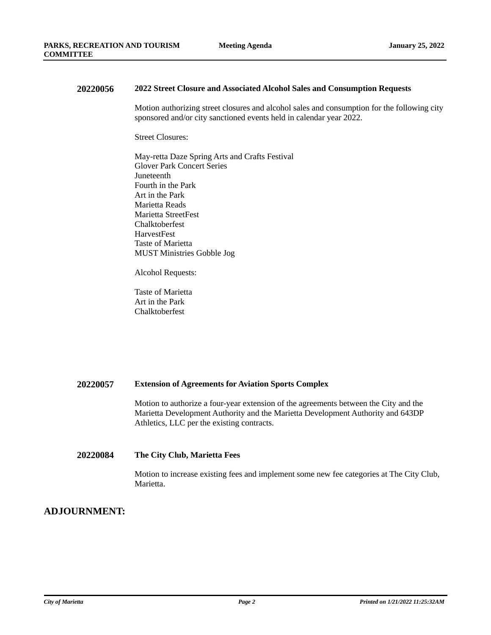#### **20220056 2022 Street Closure and Associated Alcohol Sales and Consumption Requests**

Motion authorizing street closures and alcohol sales and consumption for the following city sponsored and/or city sanctioned events held in calendar year 2022.

Street Closures:

May-retta Daze Spring Arts and Crafts Festival Glover Park Concert Series · Juneteenth Fourth in the Park Art in the Park Marietta Reads · Marietta StreetFest **Chalktoberfest** · HarvestFest Taste of Marietta · MUST Ministries Gobble Jog

Alcohol Requests:

Taste of Marietta Art in the Park **Chalktoberfest** 

## **20220057 Extension of Agreements for Aviation Sports Complex**

Motion to authorize a four-year extension of the agreements between the City and the Marietta Development Authority and the Marietta Development Authority and 643DP Athletics, LLC per the existing contracts.

### **20220084 The City Club, Marietta Fees**

Motion to increase existing fees and implement some new fee categories at The City Club, Marietta.

## **ADJOURNMENT:**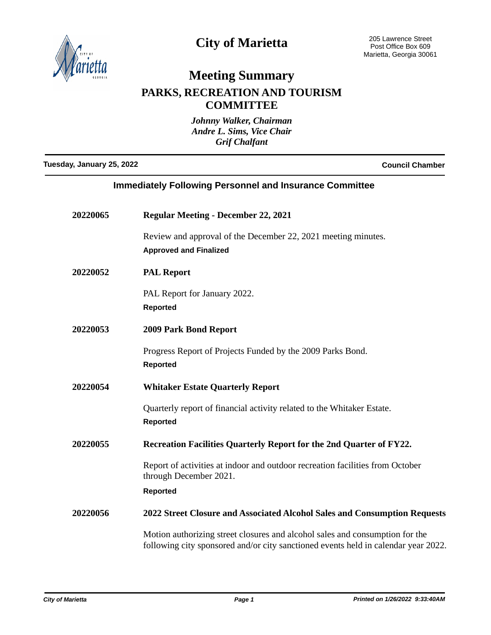

# **City of Marietta**

# **Meeting Summary**

## **PARKS, RECREATION AND TOURISM COMMITTEE**

*Johnny Walker, Chairman Andre L. Sims, Vice Chair Grif Chalfant*

**Tuesday, January 25, 2022 Council Chamber**

| <b>Immediately Following Personnel and Insurance Committee</b> |                                                                                                                                                                    |
|----------------------------------------------------------------|--------------------------------------------------------------------------------------------------------------------------------------------------------------------|
| 20220065                                                       | <b>Regular Meeting - December 22, 2021</b>                                                                                                                         |
|                                                                | Review and approval of the December 22, 2021 meeting minutes.<br><b>Approved and Finalized</b>                                                                     |
| 20220052                                                       | <b>PAL Report</b>                                                                                                                                                  |
|                                                                | PAL Report for January 2022.<br><b>Reported</b>                                                                                                                    |
| 20220053                                                       | 2009 Park Bond Report                                                                                                                                              |
|                                                                | Progress Report of Projects Funded by the 2009 Parks Bond.<br><b>Reported</b>                                                                                      |
| 20220054                                                       | <b>Whitaker Estate Quarterly Report</b>                                                                                                                            |
|                                                                | Quarterly report of financial activity related to the Whitaker Estate.<br><b>Reported</b>                                                                          |
| 20220055                                                       | Recreation Facilities Quarterly Report for the 2nd Quarter of FY22.                                                                                                |
|                                                                | Report of activities at indoor and outdoor recreation facilities from October<br>through December 2021.                                                            |
|                                                                | <b>Reported</b>                                                                                                                                                    |
| 20220056                                                       | 2022 Street Closure and Associated Alcohol Sales and Consumption Requests                                                                                          |
|                                                                | Motion authorizing street closures and alcohol sales and consumption for the<br>following city sponsored and/or city sanctioned events held in calendar year 2022. |